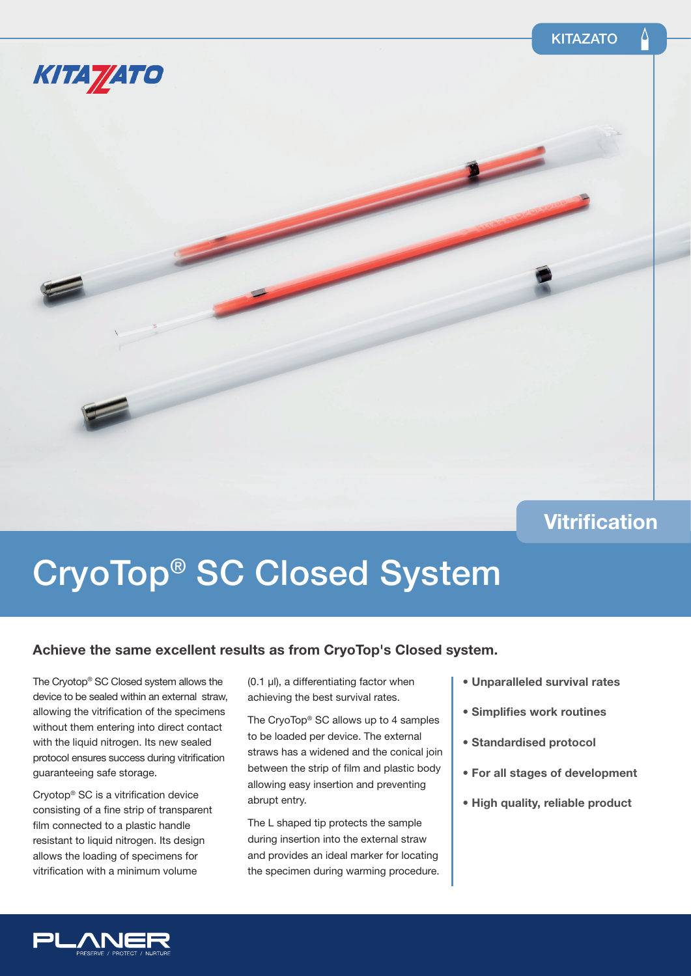

**Vitrification** 

# CryoTop® SC Closed System

### **Achieve the same excellent results as from CryoTop's Closed system.**

The Cryotop® SC Closed system allows the device to be sealed within an external straw, allowing the vitrification of the specimens without them entering into direct contact with the liquid nitrogen. Its new sealed protocol ensures success during vitrification guaranteeing safe storage.

Cryotop<sup>®</sup> SC is a vitrification device consisting of a fine strip of transparent film connected to a plastic handle resistant to liquid nitrogen. Its design allows the loading of specimens for vitrification with a minimum volume

(0.1 µl), a differentiating factor when achieving the best survival rates.

The CryoTop® SC allows up to 4 samples to be loaded per device. The external straws has a widened and the conical join between the strip of film and plastic body allowing easy insertion and preventing abrupt entry.

The L shaped tip protects the sample during insertion into the external straw and provides an ideal marker for locating the specimen during warming procedure.

- **Unparalleled survival rates**
- **Simplifies work routines**
- **Standardised protocol**
- **For all stages of development**
- **High quality, reliable product**